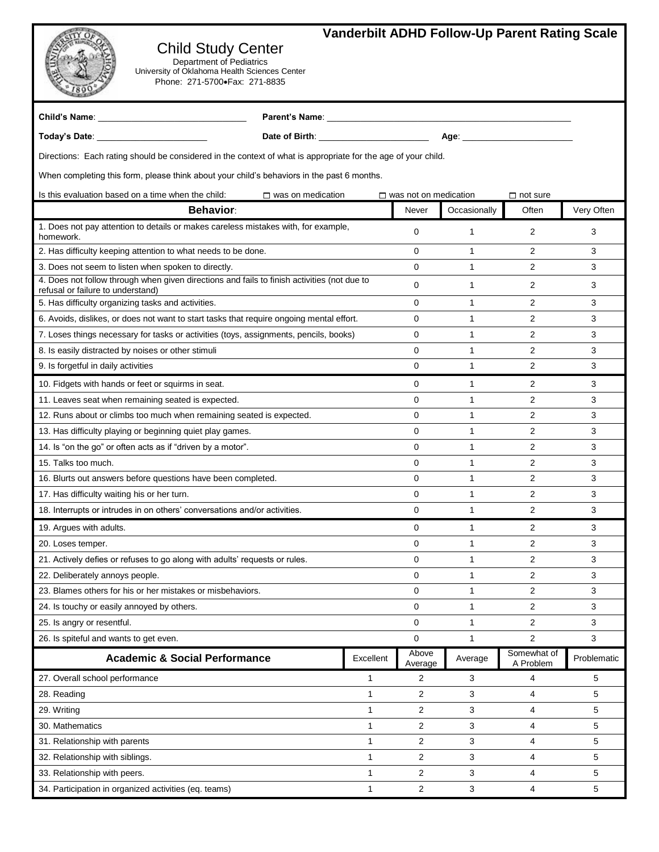## **Vanderbilt ADHD Follow-Up Parent Rating Scale**

## Child Study Center

Department of Pediatrics University of Oklahoma Health Sciences Center Phone: 271-5700• Fax: 271-8835

| Child's Name: Name: Name and South Assembly and South Assembly and South Assembly and Assembly and Assembly and                  | Parent's Name: Name: Name and Separate and Separate and Separate and Separate and Separate and Separate and Separate and Separate and Separate and Separate and Separate and Separate and Separate and Separate and Separate a |           |                              |              |                          |             |  |
|----------------------------------------------------------------------------------------------------------------------------------|--------------------------------------------------------------------------------------------------------------------------------------------------------------------------------------------------------------------------------|-----------|------------------------------|--------------|--------------------------|-------------|--|
|                                                                                                                                  | Date of Birth: ________________________<br>Age: ________________________                                                                                                                                                       |           |                              |              |                          |             |  |
| Directions: Each rating should be considered in the context of what is appropriate for the age of your child.                    |                                                                                                                                                                                                                                |           |                              |              |                          |             |  |
| When completing this form, please think about your child's behaviors in the past 6 months.                                       |                                                                                                                                                                                                                                |           |                              |              |                          |             |  |
| Is this evaluation based on a time when the child:                                                                               | $\Box$ was on medication                                                                                                                                                                                                       |           | $\Box$ was not on medication |              | $\Box$ not sure          |             |  |
| <b>Behavior</b>                                                                                                                  |                                                                                                                                                                                                                                |           | Never                        | Occasionally | Often                    | Very Often  |  |
| 1. Does not pay attention to details or makes careless mistakes with, for example,<br>homework.                                  |                                                                                                                                                                                                                                |           | $\mathbf 0$                  | $\mathbf{1}$ | 2                        | 3           |  |
| 2. Has difficulty keeping attention to what needs to be done.                                                                    |                                                                                                                                                                                                                                |           | $\mathbf 0$                  | $\mathbf{1}$ | 2                        | 3           |  |
| 3. Does not seem to listen when spoken to directly.                                                                              |                                                                                                                                                                                                                                |           | $\mathbf 0$                  | $\mathbf{1}$ | 2                        | 3           |  |
| 4. Does not follow through when given directions and fails to finish activities (not due to<br>refusal or failure to understand) |                                                                                                                                                                                                                                |           | $\mathbf 0$                  | $\mathbf{1}$ | 2                        | 3           |  |
| 5. Has difficulty organizing tasks and activities.                                                                               |                                                                                                                                                                                                                                |           | 0                            | $\mathbf{1}$ | 2                        | 3           |  |
| 6. Avoids, dislikes, or does not want to start tasks that require ongoing mental effort.                                         |                                                                                                                                                                                                                                |           | 0                            | $\mathbf{1}$ | 2                        | 3           |  |
| 7. Loses things necessary for tasks or activities (toys, assignments, pencils, books)                                            |                                                                                                                                                                                                                                |           | $\mathbf 0$                  | 1            | 2                        | 3           |  |
| 8. Is easily distracted by noises or other stimuli                                                                               |                                                                                                                                                                                                                                |           | $\mathbf 0$                  | 1            | 2                        | 3           |  |
| 9. Is forgetful in daily activities                                                                                              |                                                                                                                                                                                                                                |           | $\mathbf 0$                  | 1            | 2                        | 3           |  |
| 10. Fidgets with hands or feet or squirms in seat.                                                                               |                                                                                                                                                                                                                                |           | 0                            | $\mathbf{1}$ | 2                        | 3           |  |
| 11. Leaves seat when remaining seated is expected.                                                                               |                                                                                                                                                                                                                                |           | 0                            | $\mathbf{1}$ | 2                        | 3           |  |
| 12. Runs about or climbs too much when remaining seated is expected.                                                             |                                                                                                                                                                                                                                |           | $\mathbf 0$                  | $\mathbf{1}$ | 2                        | 3           |  |
| 13. Has difficulty playing or beginning quiet play games.                                                                        |                                                                                                                                                                                                                                |           | $\mathbf 0$                  | 1            | 2                        | 3           |  |
| 14. Is "on the go" or often acts as if "driven by a motor".                                                                      |                                                                                                                                                                                                                                |           | 0                            | 1            | 2                        | 3           |  |
| 15. Talks too much.                                                                                                              |                                                                                                                                                                                                                                |           | $\mathbf 0$                  | 1            | 2                        | 3           |  |
| 16. Blurts out answers before questions have been completed.                                                                     |                                                                                                                                                                                                                                |           | $\mathbf 0$                  | 1            | 2                        | 3           |  |
| 17. Has difficulty waiting his or her turn.                                                                                      |                                                                                                                                                                                                                                |           | 0                            | 1            | $\overline{2}$           | 3           |  |
| 18. Interrupts or intrudes in on others' conversations and/or activities.                                                        |                                                                                                                                                                                                                                |           | 0                            | $\mathbf{1}$ | 2                        | 3           |  |
| 19. Argues with adults.                                                                                                          |                                                                                                                                                                                                                                |           | $\mathbf 0$                  | 1            | 2                        | 3           |  |
| 20. Loses temper.                                                                                                                |                                                                                                                                                                                                                                |           | $\mathbf 0$                  | 1            | 2                        | 3           |  |
| 21. Actively defies or refuses to go along with adults' requests or rules.                                                       |                                                                                                                                                                                                                                |           | $\mathbf 0$                  | 1            | 2                        | 3           |  |
| 22. Deliberately annoys people.                                                                                                  |                                                                                                                                                                                                                                |           | 0                            | 1            | 2                        | 3           |  |
| 23. Blames others for his or her mistakes or misbehaviors.                                                                       |                                                                                                                                                                                                                                |           | 0                            | 1            | 2                        | 3           |  |
| 24. Is touchy or easily annoyed by others.                                                                                       |                                                                                                                                                                                                                                |           | $\mathbf 0$                  | 1            | 2                        | 3           |  |
| 25. Is angry or resentful.                                                                                                       |                                                                                                                                                                                                                                |           | $\mathbf 0$                  | $\mathbf{1}$ | 2                        | 3           |  |
| 26. Is spiteful and wants to get even.                                                                                           |                                                                                                                                                                                                                                |           | 0                            | 1            | 2                        | 3           |  |
| <b>Academic &amp; Social Performance</b>                                                                                         |                                                                                                                                                                                                                                | Excellent | Above<br>Average             | Average      | Somewhat of<br>A Problem | Problematic |  |
| 27. Overall school performance                                                                                                   |                                                                                                                                                                                                                                | 1         | 2                            | 3            | 4                        | 5           |  |
| 28. Reading                                                                                                                      |                                                                                                                                                                                                                                | 1         | 2                            | 3            | 4                        | 5           |  |
| 29. Writing                                                                                                                      |                                                                                                                                                                                                                                | 1         | 2                            | 3            | 4                        | 5           |  |
| 30. Mathematics                                                                                                                  |                                                                                                                                                                                                                                | 1         | 2                            | 3            | 4                        | 5           |  |
| 31. Relationship with parents                                                                                                    |                                                                                                                                                                                                                                | 1         | 2                            | 3            | 4                        | 5           |  |
| 32. Relationship with siblings.                                                                                                  |                                                                                                                                                                                                                                | 1         | $\overline{2}$               | 3            | 4                        | 5           |  |
| 33. Relationship with peers.                                                                                                     |                                                                                                                                                                                                                                | 1         | 2                            | 3            | 4                        | 5           |  |
| 34. Participation in organized activities (eq. teams)                                                                            |                                                                                                                                                                                                                                | 1         | $\overline{c}$               | 3            | 4                        | 5           |  |